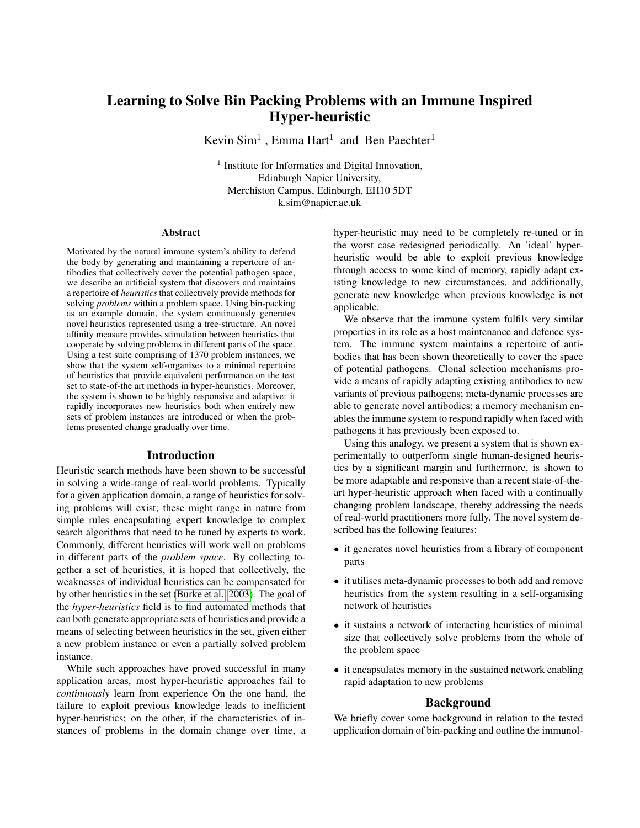# Learning to Solve Bin Packing Problems with an Immune Inspired Hyper-heuristic

Kevin Sim<sup>1</sup>, Emma Hart<sup>1</sup> and Ben Paechter<sup>1</sup>

<sup>1</sup> Institute for Informatics and Digital Innovation, Edinburgh Napier University, Merchiston Campus, Edinburgh, EH10 5DT k.sim@napier.ac.uk

#### Abstract

Motivated by the natural immune system's ability to defend the body by generating and maintaining a repertoire of antibodies that collectively cover the potential pathogen space, we describe an artificial system that discovers and maintains a repertoire of *heuristics* that collectively provide methods for solving *problems* within a problem space. Using bin-packing as an example domain, the system continuously generates novel heuristics represented using a tree-structure. An novel affinity measure provides stimulation between heuristics that cooperate by solving problems in different parts of the space. Using a test suite comprising of 1370 problem instances, we show that the system self-organises to a minimal repertoire of heuristics that provide equivalent performance on the test set to state-of-the art methods in hyper-heuristics. Moreover, the system is shown to be highly responsive and adaptive: it rapidly incorporates new heuristics both when entirely new sets of problem instances are introduced or when the problems presented change gradually over time.

#### Introduction

Heuristic search methods have been shown to be successful in solving a wide-range of real-world problems. Typically for a given application domain, a range of heuristics for solving problems will exist; these might range in nature from simple rules encapsulating expert knowledge to complex search algorithms that need to be tuned by experts to work. Commonly, different heuristics will work well on problems in different parts of the *problem space*. By collecting together a set of heuristics, it is hoped that collectively, the weaknesses of individual heuristics can be compensated for by other heuristics in the set [\(Burke et al., 2003\)](#page-7-0). The goal of the *hyper-heuristics* field is to find automated methods that can both generate appropriate sets of heuristics and provide a means of selecting between heuristics in the set, given either a new problem instance or even a partially solved problem instance.

While such approaches have proved successful in many application areas, most hyper-heuristic approaches fail to *continuously* learn from experience On the one hand, the failure to exploit previous knowledge leads to inefficient hyper-heuristics; on the other, if the characteristics of instances of problems in the domain change over time, a

hyper-heuristic may need to be completely re-tuned or in the worst case redesigned periodically. An 'ideal' hyperheuristic would be able to exploit previous knowledge through access to some kind of memory, rapidly adapt existing knowledge to new circumstances, and additionally, generate new knowledge when previous knowledge is not applicable.

We observe that the immune system fulfils very similar properties in its role as a host maintenance and defence system. The immune system maintains a repertoire of antibodies that has been shown theoretically to cover the space of potential pathogens. Clonal selection mechanisms provide a means of rapidly adapting existing antibodies to new variants of previous pathogens; meta-dynamic processes are able to generate novel antibodies; a memory mechanism enables the immune system to respond rapidly when faced with pathogens it has previously been exposed to.

Using this analogy, we present a system that is shown experimentally to outperform single human-designed heuristics by a significant margin and furthermore, is shown to be more adaptable and responsive than a recent state-of-theart hyper-heuristic approach when faced with a continually changing problem landscape, thereby addressing the needs of real-world practitioners more fully. The novel system described has the following features:

- it generates novel heuristics from a library of component parts
- it utilises meta-dynamic processes to both add and remove heuristics from the system resulting in a self-organising network of heuristics
- it sustains a network of interacting heuristics of minimal size that collectively solve problems from the whole of the problem space
- it encapsulates memory in the sustained network enabling rapid adaptation to new problems

### Background

We briefly cover some background in relation to the tested application domain of bin-packing and outline the immunol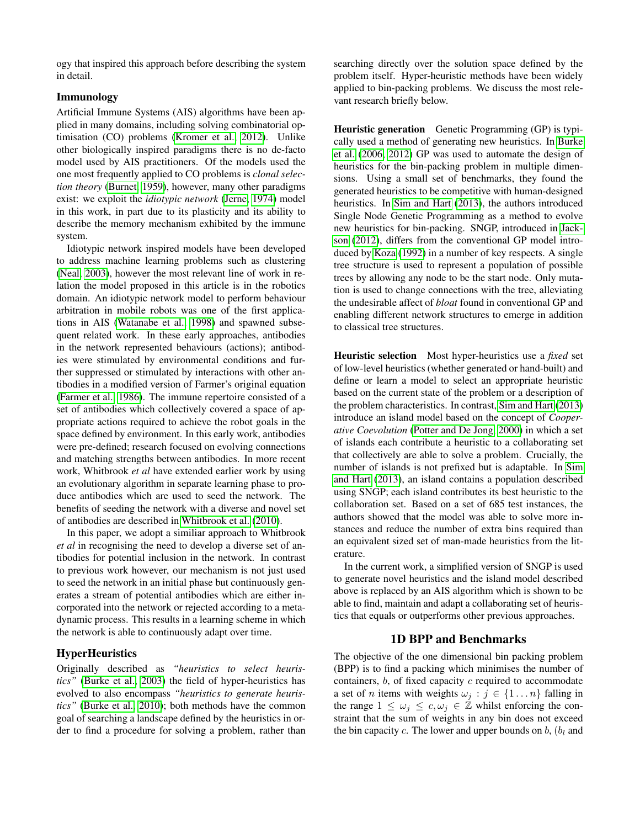ogy that inspired this approach before describing the system in detail.

# Immunology

Artificial Immune Systems (AIS) algorithms have been applied in many domains, including solving combinatorial optimisation (CO) problems [\(Kromer et al., 2012\)](#page-7-1). Unlike other biologically inspired paradigms there is no de-facto model used by AIS practitioners. Of the models used the one most frequently applied to CO problems is *clonal selection theory* [\(Burnet, 1959\)](#page-7-2), however, many other paradigms exist: we exploit the *idiotypic network* [\(Jerne, 1974\)](#page-7-3) model in this work, in part due to its plasticity and its ability to describe the memory mechanism exhibited by the immune system.

Idiotypic network inspired models have been developed to address machine learning problems such as clustering [\(Neal, 2003\)](#page-7-4), however the most relevant line of work in relation the model proposed in this article is in the robotics domain. An idiotypic network model to perform behaviour arbitration in mobile robots was one of the first applications in AIS [\(Watanabe et al., 1998\)](#page-7-5) and spawned subsequent related work. In these early approaches, antibodies in the network represented behaviours (actions); antibodies were stimulated by environmental conditions and further suppressed or stimulated by interactions with other antibodies in a modified version of Farmer's original equation [\(Farmer et al., 1986\)](#page-7-6). The immune repertoire consisted of a set of antibodies which collectively covered a space of appropriate actions required to achieve the robot goals in the space defined by environment. In this early work, antibodies were pre-defined; research focused on evolving connections and matching strengths between antibodies. In more recent work, Whitbrook *et al* have extended earlier work by using an evolutionary algorithm in separate learning phase to produce antibodies which are used to seed the network. The benefits of seeding the network with a diverse and novel set of antibodies are described in [Whitbrook et al.](#page-7-7) [\(2010\)](#page-7-7).

In this paper, we adopt a similiar approach to Whitbrook *et al* in recognising the need to develop a diverse set of antibodies for potential inclusion in the network. In contrast to previous work however, our mechanism is not just used to seed the network in an initial phase but continuously generates a stream of potential antibodies which are either incorporated into the network or rejected according to a metadynamic process. This results in a learning scheme in which the network is able to continuously adapt over time.

# **HyperHeuristics**

Originally described as *"heuristics to select heuristics"* [\(Burke et al., 2003\)](#page-7-0) the field of hyper-heuristics has evolved to also encompass *"heuristics to generate heuristics"* [\(Burke et al., 2010\)](#page-7-8); both methods have the common goal of searching a landscape defined by the heuristics in order to find a procedure for solving a problem, rather than

searching directly over the solution space defined by the problem itself. Hyper-heuristic methods have been widely applied to bin-packing problems. We discuss the most relevant research briefly below.

Heuristic generation Genetic Programming (GP) is typically used a method of generating new heuristics. In [Burke](#page-7-9) [et al.](#page-7-9) [\(2006,](#page-7-9) [2012\)](#page-7-10) GP was used to automate the design of heuristics for the bin-packing problem in multiple dimensions. Using a small set of benchmarks, they found the generated heuristics to be competitive with human-designed heuristics. In [Sim and Hart](#page-7-11) [\(2013\)](#page-7-11), the authors introduced Single Node Genetic Programming as a method to evolve new heuristics for bin-packing. SNGP, introduced in [Jack](#page-7-12)[son](#page-7-12) [\(2012\)](#page-7-12), differs from the conventional GP model introduced by [Koza](#page-7-13) [\(1992\)](#page-7-13) in a number of key respects. A single tree structure is used to represent a population of possible trees by allowing any node to be the start node. Only mutation is used to change connections with the tree, alleviating the undesirable affect of *bloat* found in conventional GP and enabling different network structures to emerge in addition to classical tree structures.

Heuristic selection Most hyper-heuristics use a *fixed* set of low-level heuristics (whether generated or hand-built) and define or learn a model to select an appropriate heuristic based on the current state of the problem or a description of the problem characteristics. In contrast, [Sim and Hart](#page-7-11) [\(2013\)](#page-7-11) introduce an island model based on the concept of *Cooperative Coevolution* [\(Potter and De Jong, 2000\)](#page-7-14) in which a set of islands each contribute a heuristic to a collaborating set that collectively are able to solve a problem. Crucially, the number of islands is not prefixed but is adaptable. In [Sim](#page-7-11) [and Hart](#page-7-11) [\(2013\)](#page-7-11), an island contains a population described using SNGP; each island contributes its best heuristic to the collaboration set. Based on a set of 685 test instances, the authors showed that the model was able to solve more instances and reduce the number of extra bins required than an equivalent sized set of man-made heuristics from the literature.

In the current work, a simplified version of SNGP is used to generate novel heuristics and the island model described above is replaced by an AIS algorithm which is shown to be able to find, maintain and adapt a collaborating set of heuristics that equals or outperforms other previous approaches.

# <span id="page-1-0"></span>1D BPP and Benchmarks

The objective of the one dimensional bin packing problem (BPP) is to find a packing which minimises the number of containers,  $b$ , of fixed capacity  $c$  required to accommodate a set of *n* items with weights  $\omega_j : j \in \{1 \dots n\}$  falling in the range  $1 \leq \omega_i \leq c, \omega_i \in \mathbb{Z}$  whilst enforcing the constraint that the sum of weights in any bin does not exceed the bin capacity  $c$ . The lower and upper bounds on  $b$ ,  $(b<sub>l</sub>$  and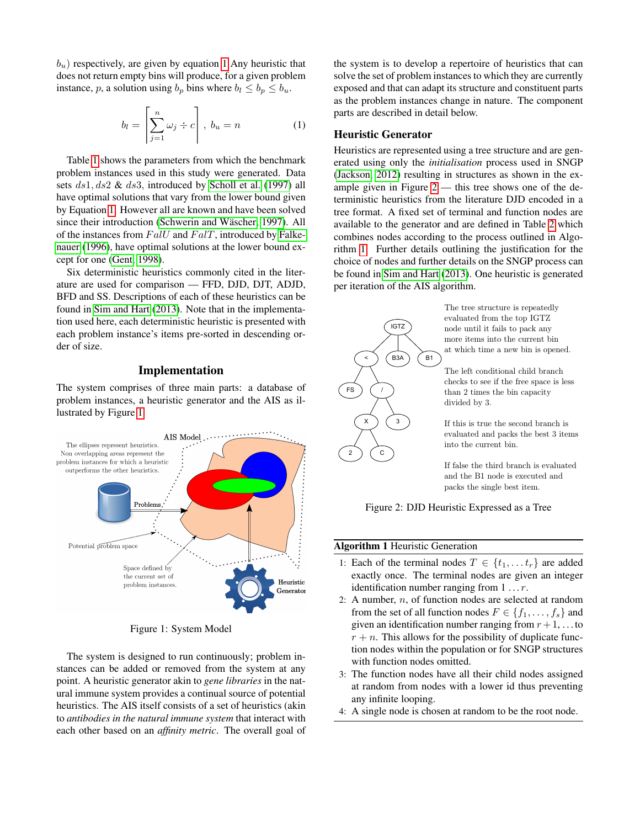$b<sub>u</sub>$ ) respectively, are given by equation [1](#page-2-0) Any heuristic that does not return empty bins will produce, for a given problem instance, p, a solution using  $b_p$  bins where  $b_l \leq b_p \leq b_u$ .

<span id="page-2-0"></span>
$$
b_l = \left[\sum_{j=1}^n \omega_j \div c\right], \ b_u = n \tag{1}
$$

Table [1](#page-3-0) shows the parameters from which the benchmark problem instances used in this study were generated. Data sets ds1, ds2 & ds3, introduced by [Scholl et al.](#page-7-15) [\(1997\)](#page-7-15) all have optimal solutions that vary from the lower bound given by Equation [1.](#page-2-0) However all are known and have been solved since their introduction (Schwerin and Wäscher, 1997). All of the instances from  $Fall$  and  $Fall$ , introduced by [Falke](#page-7-17)[nauer](#page-7-17) [\(1996\)](#page-7-17), have optimal solutions at the lower bound except for one [\(Gent, 1998\)](#page-7-18).

Six deterministic heuristics commonly cited in the literature are used for comparison — FFD, DJD, DJT, ADJD, BFD and SS. Descriptions of each of these heuristics can be found in [Sim and Hart](#page-7-11) [\(2013\)](#page-7-11). Note that in the implementation used here, each deterministic heuristic is presented with each problem instance's items pre-sorted in descending order of size.

### Implementation

The system comprises of three main parts: a database of problem instances, a heuristic generator and the AIS as illustrated by Figure [1.](#page-2-1)

<span id="page-2-1"></span>

Figure 1: System Model

The system is designed to run continuously; problem instances can be added or removed from the system at any point. A heuristic generator akin to *gene libraries* in the natural immune system provides a continual source of potential heuristics. The AIS itself consists of a set of heuristics (akin to *antibodies in the natural immune system* that interact with each other based on an *affinity metric*. The overall goal of

the system is to develop a repertoire of heuristics that can solve the set of problem instances to which they are currently exposed and that can adapt its structure and constituent parts as the problem instances change in nature. The component parts are described in detail below.

#### Heuristic Generator

Heuristics are represented using a tree structure and are generated using only the *initialisation* process used in SNGP [\(Jackson, 2012\)](#page-7-12) resulting in structures as shown in the example given in Figure  $2$  — this tree shows one of the deterministic heuristics from the literature DJD encoded in a tree format. A fixed set of terminal and function nodes are available to the generator and are defined in Table [2](#page-3-1) which combines nodes according to the process outlined in Algorithm [1.](#page-2-3) Further details outlining the justification for the choice of nodes and further details on the SNGP process can be found in [Sim and Hart](#page-7-11) [\(2013\)](#page-7-11). One heuristic is generated per iteration of the AIS algorithm.

<span id="page-2-2"></span>

If false the third branch is evaluated and the B1 node is executed and packs the single best item.

Figure 2: DJD Heuristic Expressed as a Tree

#### <span id="page-2-3"></span>Algorithm 1 Heuristic Generation

- 1: Each of the terminal nodes  $T \in \{t_1, \ldots, t_r\}$  are added exactly once. The terminal nodes are given an integer identification number ranging from  $1 \ldots r$ .
- 2: A number,  $n$ , of function nodes are selected at random from the set of all function nodes  $F \in \{f_1, \ldots, f_s\}$  and given an identification number ranging from  $r + 1$ , ... to  $r + n$ . This allows for the possibility of duplicate function nodes within the population or for SNGP structures with function nodes omitted.
- 3: The function nodes have all their child nodes assigned at random from nodes with a lower id thus preventing any infinite looping.
- 4: A single node is chosen at random to be the root node.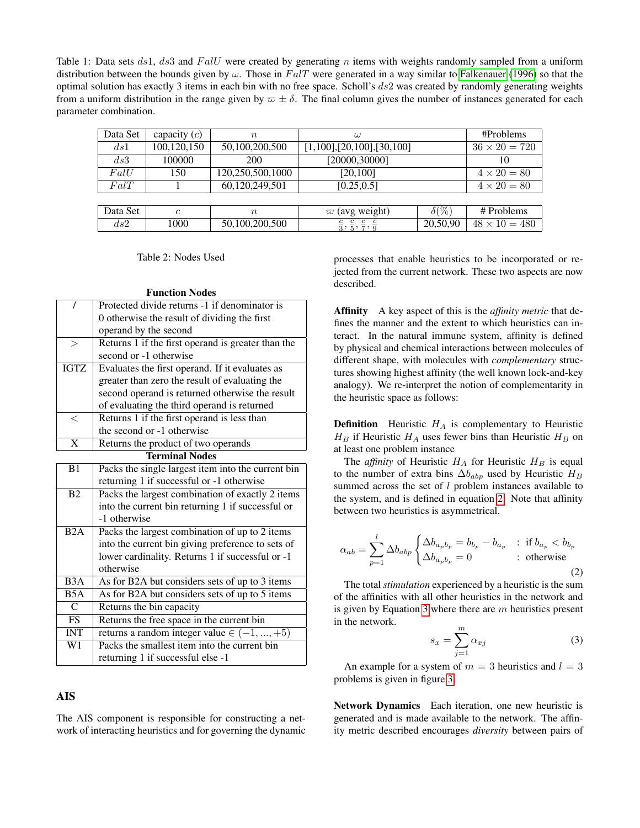<span id="page-3-0"></span>Table 1: Data sets  $ds1$ ,  $ds3$  and  $Fall$  were created by generating n items with weights randomly sampled from a uniform distribution between the bounds given by  $\omega$ . Those in FalT were generated in a way similar to [Falkenauer](#page-7-17) [\(1996\)](#page-7-17) so that the optimal solution has exactly 3 items in each bin with no free space. Scholl's  $ds2$  was created by randomly generating weights from a uniform distribution in the range given by  $\varpi \pm \delta$ . The final column gives the number of instances generated for each parameter combination.

| Data Set | capacity $(c)$ | $\boldsymbol{n}$ | $\omega$                                             |              | #Problems            |
|----------|----------------|------------------|------------------------------------------------------|--------------|----------------------|
| ds1      | 100,120,150    | 50,100,200,500   | $[1,100]$ , $[20,100]$ , $[30,100]$                  |              | $36 \times 20 = 720$ |
| ds3      | 100000         | 200              | [20000,30000]                                        |              | 10                   |
| FallU    | 150            | 120,250,500,1000 | [20, 100]                                            |              | $4 \times 20 = 80$   |
| FalT     |                | 60,120,249,501   | [0.25, 0.5]                                          |              | $4 \times 20 = 80$   |
|          |                |                  |                                                      |              |                      |
| Data Set | $\epsilon$     | $\boldsymbol{n}$ | $\varpi$ (avg weight)                                | $\delta(\%)$ | # Problems           |
| ds2      | 1000           | 50,100,200,500   | $\frac{c}{3}, \frac{c}{5}, \frac{c}{7}, \frac{c}{9}$ | 20,50,90     | $48 \times 10 = 480$ |

Table 2: Nodes Used

| <b>Function Nodes</b> |  |
|-----------------------|--|
|-----------------------|--|

<span id="page-3-1"></span>

| 7                     | Protected divide returns -1 if denominator is      |  |  |  |  |  |  |
|-----------------------|----------------------------------------------------|--|--|--|--|--|--|
|                       | 0 otherwise the result of dividing the first       |  |  |  |  |  |  |
|                       | operand by the second                              |  |  |  |  |  |  |
| $\geq$                | Returns 1 if the first operand is greater than the |  |  |  |  |  |  |
|                       | second or -1 otherwise                             |  |  |  |  |  |  |
| <b>IGTZ</b>           | Evaluates the first operand. If it evaluates as    |  |  |  |  |  |  |
|                       | greater than zero the result of evaluating the     |  |  |  |  |  |  |
|                       | second operand is returned otherwise the result    |  |  |  |  |  |  |
|                       | of evaluating the third operand is returned        |  |  |  |  |  |  |
| $\lt$                 | Returns 1 if the first operand is less than        |  |  |  |  |  |  |
|                       | the second or -1 otherwise                         |  |  |  |  |  |  |
| $\overline{\text{X}}$ | Returns the product of two operands                |  |  |  |  |  |  |
| <b>Terminal Nodes</b> |                                                    |  |  |  |  |  |  |
| B1                    | Packs the single largest item into the current bin |  |  |  |  |  |  |
|                       | returning 1 if successful or -1 otherwise          |  |  |  |  |  |  |
| B <sub>2</sub>        | Packs the largest combination of exactly 2 items   |  |  |  |  |  |  |
|                       | into the current bin returning 1 if successful or  |  |  |  |  |  |  |
|                       | -1 otherwise                                       |  |  |  |  |  |  |
| B2A                   | Packs the largest combination of up to 2 items     |  |  |  |  |  |  |
|                       | into the current bin giving preference to sets of  |  |  |  |  |  |  |
|                       | lower cardinality. Returns 1 if successful or -1   |  |  |  |  |  |  |
|                       | otherwise                                          |  |  |  |  |  |  |
| B <sub>3</sub> A      | As for B2A but considers sets of up to 3 items     |  |  |  |  |  |  |
| B <sub>5</sub> A      | As for B2A but considers sets of up to 5 items     |  |  |  |  |  |  |
| C                     | Returns the bin capacity                           |  |  |  |  |  |  |
| <b>FS</b>             | Returns the free space in the current bin          |  |  |  |  |  |  |
| <b>INT</b>            | returns a random integer value $\in (-1, , +5)$    |  |  |  |  |  |  |
| $\overline{W1}$       | Packs the smallest item into the current bin       |  |  |  |  |  |  |
|                       | returning 1 if successful else -1                  |  |  |  |  |  |  |

# AIS

The AIS component is responsible for constructing a network of interacting heuristics and for governing the dynamic processes that enable heuristics to be incorporated or rejected from the current network. These two aspects are now described.

Affinity A key aspect of this is the *affinity metric* that defines the manner and the extent to which heuristics can interact. In the natural immune system, affinity is defined by physical and chemical interactions between molecules of different shape, with molecules with *complementary* structures showing highest affinity (the well known lock-and-key analogy). We re-interpret the notion of complementarity in the heuristic space as follows:

**Definition** Heuristic  $H_A$  is complementary to Heuristic  $H_B$  if Heuristic  $H_A$  uses fewer bins than Heuristic  $H_B$  on at least one problem instance

The *affinity* of Heuristic  $H_A$  for Heuristic  $H_B$  is equal to the number of extra bins  $\Delta b_{abp}$  used by Heuristic  $H_B$ summed across the set of l problem instances available to the system, and is defined in equation [2.](#page-3-2) Note that affinity between two heuristics is asymmetrical.

<span id="page-3-2"></span>
$$
\alpha_{ab} = \sum_{p=1}^{l} \Delta b_{abp} \begin{cases} \Delta b_{a_p b_p} = b_{b_p} - b_{a_p} & \text{: if } b_{a_p} < b_{b_p} \\ \Delta b_{a_p b_p} = 0 & \text{: otherwise} \end{cases}
$$
 (2)

The total *stimulation* experienced by a heuristic is the sum of the affinities with all other heuristics in the network and is given by Equation [3](#page-3-3) where there are  $m$  heuristics present in the network.

<span id="page-3-3"></span>
$$
s_x = \sum_{j=1}^{m} \alpha_{xj} \tag{3}
$$

An example for a system of  $m = 3$  heuristics and  $l = 3$ problems is given in figure [3.](#page-4-0)

Network Dynamics Each iteration, one new heuristic is generated and is made available to the network. The affinity metric described encourages *diversity* between pairs of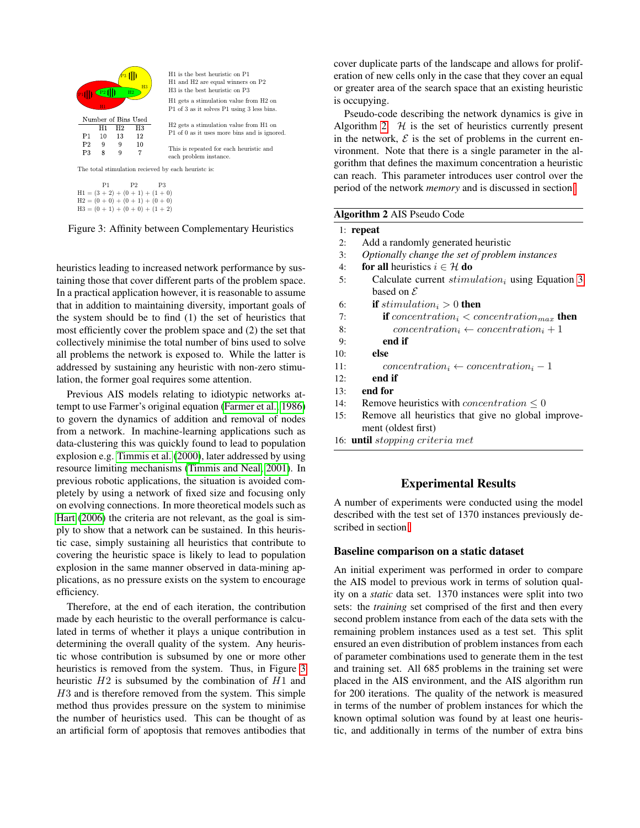<span id="page-4-0"></span>

 $H1 = (3 + 2) + (0 + 1) + (1 + 0)$  $H2 = (0 + 0) + (0 + 1) + (0 + 0)$  $H3 = (0 + 1) + (0 + 0) + (1 + 2)$ 

#### Figure 3: Affinity between Complementary Heuristics

heuristics leading to increased network performance by sustaining those that cover different parts of the problem space. In a practical application however, it is reasonable to assume that in addition to maintaining diversity, important goals of the system should be to find (1) the set of heuristics that most efficiently cover the problem space and (2) the set that collectively minimise the total number of bins used to solve all problems the network is exposed to. While the latter is addressed by sustaining any heuristic with non-zero stimulation, the former goal requires some attention.

Previous AIS models relating to idiotypic networks attempt to use Farmer's original equation [\(Farmer et al., 1986\)](#page-7-6) to govern the dynamics of addition and removal of nodes from a network. In machine-learning applications such as data-clustering this was quickly found to lead to population explosion e.g. [Timmis et al.](#page-7-19) [\(2000\)](#page-7-19), later addressed by using resource limiting mechanisms [\(Timmis and Neal, 2001\)](#page-7-20). In previous robotic applications, the situation is avoided completely by using a network of fixed size and focusing only on evolving connections. In more theoretical models such as [Hart](#page-7-21) [\(2006\)](#page-7-21) the criteria are not relevant, as the goal is simply to show that a network can be sustained. In this heuristic case, simply sustaining all heuristics that contribute to covering the heuristic space is likely to lead to population explosion in the same manner observed in data-mining applications, as no pressure exists on the system to encourage efficiency.

Therefore, at the end of each iteration, the contribution made by each heuristic to the overall performance is calculated in terms of whether it plays a unique contribution in determining the overall quality of the system. Any heuristic whose contribution is subsumed by one or more other heuristics is removed from the system. Thus, in Figure [3](#page-4-0) heuristic  $H2$  is subsumed by the combination of  $H1$  and H3 and is therefore removed from the system. This simple method thus provides pressure on the system to minimise the number of heuristics used. This can be thought of as an artificial form of apoptosis that removes antibodies that

cover duplicate parts of the landscape and allows for proliferation of new cells only in the case that they cover an equal or greater area of the search space that an existing heuristic is occupying.

Pseudo-code describing the network dynamics is give in Algorithm [2.](#page-4-1)  $H$  is the set of heuristics currently present in the network,  $\mathcal E$  is the set of problems in the current environment. Note that there is a single parameter in the algorithm that defines the maximum concentration a heuristic can reach. This parameter introduces user control over the period of the network *memory* and is discussed in section [.](#page-5-0)

#### <span id="page-4-1"></span>Algorithm 2 AIS Pseudo Code

# 1: repeat

- 2: Add a randomly generated heuristic
- 3: *Optionally change the set of problem instances*
- 4: for all heuristics  $i \in \mathcal{H}$  do
- 5: Calculate current  $stimulation_i$  using Equation [3](#page-3-3) based on  $\mathcal E$
- 6: if  $stimulation_i > 0$  then
- 7: **if** concentration<sub>i</sub>  $\lt$  concentration<sub>max</sub> then
- 8: concentration<sub>i</sub> ← concentration<sub>i</sub> + 1
- 9: end if
- 10: else
- 11: concentration<sub>i</sub> ← concentration<sub>i</sub> 1
- 12: end if
- 13: end for
- 14: Remove heuristics with *concentration*  $\leq 0$
- 15: Remove all heuristics that give no global improvement (oldest first)
- 16: until stopping criteria met

# Experimental Results

A number of experiments were conducted using the model described with the test set of 1370 instances previously described in section [.](#page-1-0)

#### Baseline comparison on a static dataset

An initial experiment was performed in order to compare the AIS model to previous work in terms of solution quality on a *static* data set. 1370 instances were split into two sets: the *training* set comprised of the first and then every second problem instance from each of the data sets with the remaining problem instances used as a test set. This split ensured an even distribution of problem instances from each of parameter combinations used to generate them in the test and training set. All 685 problems in the training set were placed in the AIS environment, and the AIS algorithm run for 200 iterations. The quality of the network is measured in terms of the number of problem instances for which the known optimal solution was found by at least one heuristic, and additionally in terms of the number of extra bins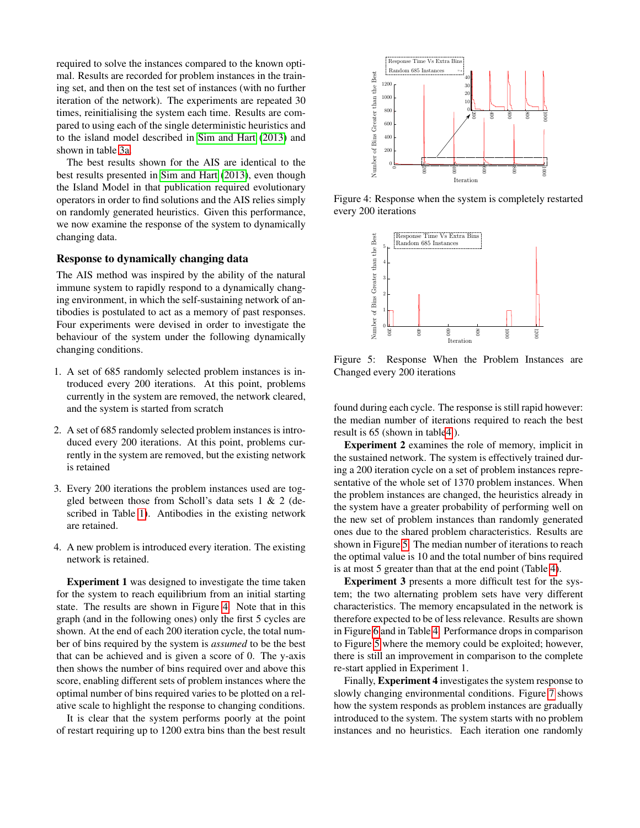required to solve the instances compared to the known optimal. Results are recorded for problem instances in the training set, and then on the test set of instances (with no further iteration of the network). The experiments are repeated 30 times, reinitialising the system each time. Results are compared to using each of the single deterministic heuristics and to the island model described in [Sim and Hart](#page-7-11) [\(2013\)](#page-7-11) and shown in table [3a.](#page-6-0)

The best results shown for the AIS are identical to the best results presented in [Sim and Hart](#page-7-11) [\(2013\)](#page-7-11), even though the Island Model in that publication required evolutionary operators in order to find solutions and the AIS relies simply on randomly generated heuristics. Given this performance, we now examine the response of the system to dynamically changing data.

### <span id="page-5-0"></span>Response to dynamically changing data

The AIS method was inspired by the ability of the natural immune system to rapidly respond to a dynamically changing environment, in which the self-sustaining network of antibodies is postulated to act as a memory of past responses. Four experiments were devised in order to investigate the behaviour of the system under the following dynamically changing conditions.

- 1. A set of 685 randomly selected problem instances is introduced every 200 iterations. At this point, problems currently in the system are removed, the network cleared, and the system is started from scratch
- 2. A set of 685 randomly selected problem instances is introduced every 200 iterations. At this point, problems currently in the system are removed, but the existing network is retained
- 3. Every 200 iterations the problem instances used are toggled between those from Scholl's data sets 1 & 2 (described in Table [1\)](#page-3-0). Antibodies in the existing network are retained.
- 4. A new problem is introduced every iteration. The existing network is retained.

Experiment 1 was designed to investigate the time taken for the system to reach equilibrium from an initial starting state. The results are shown in Figure [4.](#page-5-1) Note that in this graph (and in the following ones) only the first 5 cycles are shown. At the end of each 200 iteration cycle, the total number of bins required by the system is *assumed* to be the best that can be achieved and is given a score of 0. The y-axis then shows the number of bins required over and above this score, enabling different sets of problem instances where the optimal number of bins required varies to be plotted on a relative scale to highlight the response to changing conditions.

It is clear that the system performs poorly at the point of restart requiring up to 1200 extra bins than the best result

<span id="page-5-1"></span>

<span id="page-5-2"></span>Figure 4: Response when the system is completely restarted every 200 iterations



Figure 5: Response When the Problem Instances are Changed every 200 iterations

found during each cycle. The response is still rapid however: the median number of iterations required to reach the best result is 65 (shown in tabl[e4](#page-6-1) ).

Experiment 2 examines the role of memory, implicit in the sustained network. The system is effectively trained during a 200 iteration cycle on a set of problem instances representative of the whole set of 1370 problem instances. When the problem instances are changed, the heuristics already in the system have a greater probability of performing well on the new set of problem instances than randomly generated ones due to the shared problem characteristics. Results are shown in Figure [5.](#page-5-2) The median number of iterations to reach the optimal value is 10 and the total number of bins required is at most 5 greater than that at the end point (Table [4\)](#page-6-1).

Experiment 3 presents a more difficult test for the system; the two alternating problem sets have very different characteristics. The memory encapsulated in the network is therefore expected to be of less relevance. Results are shown in Figure [6](#page-6-2) and in Table [4.](#page-6-1) Performance drops in comparison to Figure [5](#page-5-2) where the memory could be exploited; however, there is still an improvement in comparison to the complete re-start applied in Experiment 1.

Finally, Experiment 4 investigates the system response to slowly changing environmental conditions. Figure [7](#page-6-3) shows how the system responds as problem instances are gradually introduced to the system. The system starts with no problem instances and no heuristics. Each iteration one randomly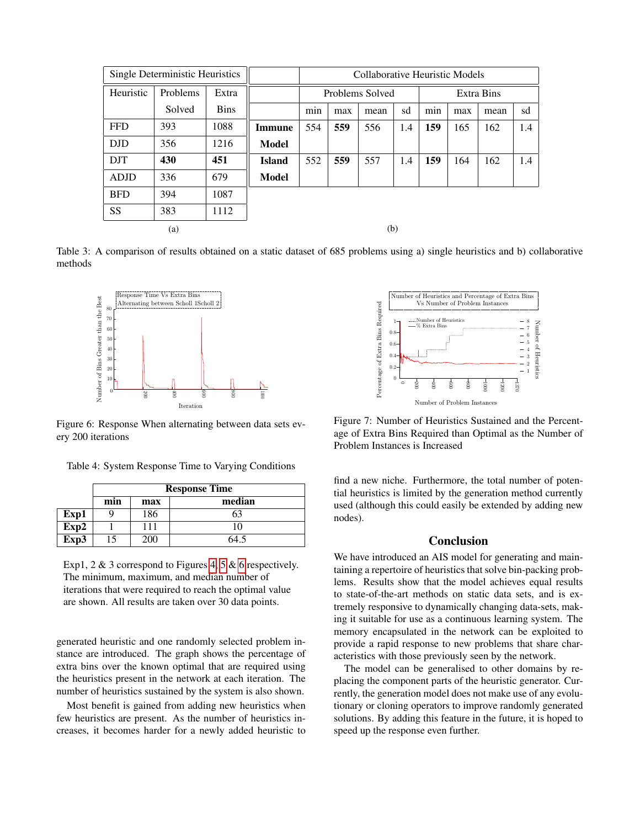<span id="page-6-0"></span>

| Single Deterministic Heuristics |          |             |               | Collaborative Heuristic Models |     |      |     |     |     |      |     |
|---------------------------------|----------|-------------|---------------|--------------------------------|-----|------|-----|-----|-----|------|-----|
| Heuristic                       | Problems | Extra       |               | Problems Solved<br>Extra Bins  |     |      |     |     |     |      |     |
|                                 | Solved   | <b>Bins</b> |               | min                            | max | mean | sd  | min | max | mean | sd  |
| <b>FFD</b>                      | 393      | 1088        | <b>Immune</b> | 554                            | 559 | 556  | 1.4 | 159 | 165 | 162  | 1.4 |
| <b>DJD</b>                      | 356      | 1216        | Model         |                                |     |      |     |     |     |      |     |
| <b>DJT</b>                      | 430      | 451         | <b>Island</b> | 552                            | 559 | 557  | 1.4 | 159 | 164 | 162  | 1.4 |
| <b>ADJD</b>                     | 336      | 679         | Model         |                                |     |      |     |     |     |      |     |
| <b>BFD</b>                      | 394      | 1087        |               |                                |     |      |     |     |     |      |     |
| <b>SS</b>                       | 383      | 1112        |               |                                |     |      |     |     |     |      |     |
|                                 | (a)      |             |               | (b)                            |     |      |     |     |     |      |     |

Table 3: A comparison of results obtained on a static dataset of 685 problems using a) single heuristics and b) collaborative methods

<span id="page-6-2"></span>

Figure 6: Response When alternating between data sets every 200 iterations

<span id="page-6-1"></span>

|      | <b>Response Time</b> |     |        |  |  |  |
|------|----------------------|-----|--------|--|--|--|
|      | min                  | max | median |  |  |  |
| Exp1 | ч                    | 186 | 63     |  |  |  |
| Exp2 |                      | 111 | 10     |  |  |  |
| Exp3 | 15                   | 200 | 64.5   |  |  |  |

Exp1, 2 & 3 correspond to Figures [4,](#page-5-1) [5](#page-5-2) & [6](#page-6-2) respectively. The minimum, maximum, and median number of iterations that were required to reach the optimal value are shown. All results are taken over 30 data points.

generated heuristic and one randomly selected problem instance are introduced. The graph shows the percentage of extra bins over the known optimal that are required using the heuristics present in the network at each iteration. The number of heuristics sustained by the system is also shown.

Most benefit is gained from adding new heuristics when few heuristics are present. As the number of heuristics increases, it becomes harder for a newly added heuristic to

<span id="page-6-3"></span>

Figure 7: Number of Heuristics Sustained and the Percentage of Extra Bins Required than Optimal as the Number of Problem Instances is Increased

find a new niche. Furthermore, the total number of potential heuristics is limited by the generation method currently used (although this could easily be extended by adding new nodes).

### Conclusion

We have introduced an AIS model for generating and maintaining a repertoire of heuristics that solve bin-packing problems. Results show that the model achieves equal results to state-of-the-art methods on static data sets, and is extremely responsive to dynamically changing data-sets, making it suitable for use as a continuous learning system. The memory encapsulated in the network can be exploited to provide a rapid response to new problems that share characteristics with those previously seen by the network.

The model can be generalised to other domains by replacing the component parts of the heuristic generator. Currently, the generation model does not make use of any evolutionary or cloning operators to improve randomly generated solutions. By adding this feature in the future, it is hoped to speed up the response even further.